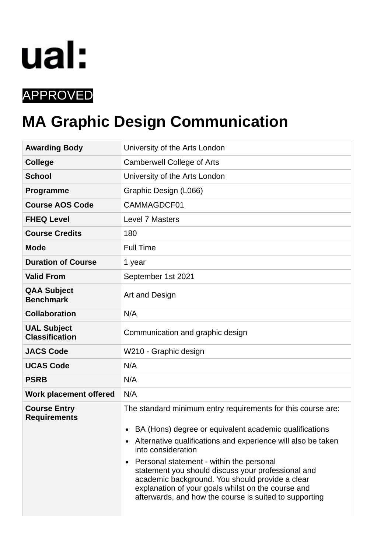# ual:

# APPROVED

# **MA Graphic Design Communication**

| <b>Awarding Body</b>                        | University of the Arts London                                                                                                                                                                                                                                                                                                                                                                                                                                                                  |  |  |  |
|---------------------------------------------|------------------------------------------------------------------------------------------------------------------------------------------------------------------------------------------------------------------------------------------------------------------------------------------------------------------------------------------------------------------------------------------------------------------------------------------------------------------------------------------------|--|--|--|
| <b>College</b>                              | Camberwell College of Arts                                                                                                                                                                                                                                                                                                                                                                                                                                                                     |  |  |  |
| <b>School</b>                               | University of the Arts London                                                                                                                                                                                                                                                                                                                                                                                                                                                                  |  |  |  |
| Programme                                   | Graphic Design (L066)                                                                                                                                                                                                                                                                                                                                                                                                                                                                          |  |  |  |
| <b>Course AOS Code</b>                      | CAMMAGDCF01                                                                                                                                                                                                                                                                                                                                                                                                                                                                                    |  |  |  |
| <b>FHEQ Level</b>                           | Level 7 Masters                                                                                                                                                                                                                                                                                                                                                                                                                                                                                |  |  |  |
| <b>Course Credits</b>                       | 180                                                                                                                                                                                                                                                                                                                                                                                                                                                                                            |  |  |  |
| <b>Mode</b>                                 | <b>Full Time</b>                                                                                                                                                                                                                                                                                                                                                                                                                                                                               |  |  |  |
| <b>Duration of Course</b>                   | 1 year                                                                                                                                                                                                                                                                                                                                                                                                                                                                                         |  |  |  |
| <b>Valid From</b>                           | September 1st 2021                                                                                                                                                                                                                                                                                                                                                                                                                                                                             |  |  |  |
| <b>QAA Subject</b><br><b>Benchmark</b>      | Art and Design                                                                                                                                                                                                                                                                                                                                                                                                                                                                                 |  |  |  |
| <b>Collaboration</b>                        | N/A                                                                                                                                                                                                                                                                                                                                                                                                                                                                                            |  |  |  |
| <b>UAL Subject</b><br><b>Classification</b> | Communication and graphic design                                                                                                                                                                                                                                                                                                                                                                                                                                                               |  |  |  |
| <b>JACS Code</b>                            | W210 - Graphic design                                                                                                                                                                                                                                                                                                                                                                                                                                                                          |  |  |  |
| <b>UCAS Code</b>                            | N/A                                                                                                                                                                                                                                                                                                                                                                                                                                                                                            |  |  |  |
| <b>PSRB</b>                                 | N/A                                                                                                                                                                                                                                                                                                                                                                                                                                                                                            |  |  |  |
| Work placement offered                      | N/A                                                                                                                                                                                                                                                                                                                                                                                                                                                                                            |  |  |  |
| <b>Course Entry</b><br><b>Requirements</b>  | The standard minimum entry requirements for this course are:<br>BA (Hons) degree or equivalent academic qualifications<br>Alternative qualifications and experience will also be taken<br>into consideration<br>Personal statement - within the personal<br>$\bullet$<br>statement you should discuss your professional and<br>academic background. You should provide a clear<br>explanation of your goals whilst on the course and<br>afterwards, and how the course is suited to supporting |  |  |  |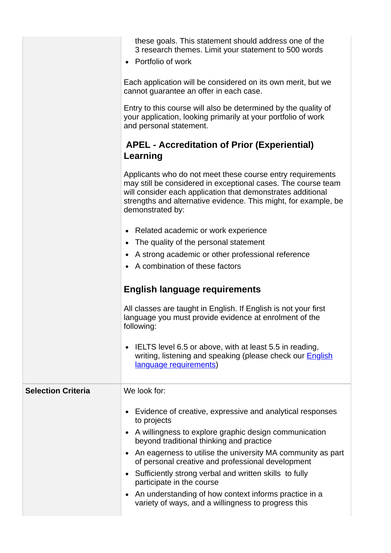|                           | these goals. This statement should address one of the<br>3 research themes. Limit your statement to 500 words<br>Portfolio of work                                                                                                                                                |  |  |  |  |  |
|---------------------------|-----------------------------------------------------------------------------------------------------------------------------------------------------------------------------------------------------------------------------------------------------------------------------------|--|--|--|--|--|
|                           | Each application will be considered on its own merit, but we<br>cannot guarantee an offer in each case.                                                                                                                                                                           |  |  |  |  |  |
|                           | Entry to this course will also be determined by the quality of<br>your application, looking primarily at your portfolio of work<br>and personal statement.                                                                                                                        |  |  |  |  |  |
|                           | <b>APEL - Accreditation of Prior (Experiential)</b><br>Learning                                                                                                                                                                                                                   |  |  |  |  |  |
|                           | Applicants who do not meet these course entry requirements<br>may still be considered in exceptional cases. The course team<br>will consider each application that demonstrates additional<br>strengths and alternative evidence. This might, for example, be<br>demonstrated by: |  |  |  |  |  |
|                           | • Related academic or work experience                                                                                                                                                                                                                                             |  |  |  |  |  |
|                           | The quality of the personal statement                                                                                                                                                                                                                                             |  |  |  |  |  |
|                           | A strong academic or other professional reference                                                                                                                                                                                                                                 |  |  |  |  |  |
|                           | • A combination of these factors                                                                                                                                                                                                                                                  |  |  |  |  |  |
|                           | <b>English language requirements</b>                                                                                                                                                                                                                                              |  |  |  |  |  |
|                           | All classes are taught in English. If English is not your first<br>language you must provide evidence at enrolment of the<br>following:                                                                                                                                           |  |  |  |  |  |
|                           | IELTS level 6.5 or above, with at least 5.5 in reading,<br>writing, listening and speaking (please check our <b>English</b><br>language requirements)                                                                                                                             |  |  |  |  |  |
| <b>Selection Criteria</b> | We look for:                                                                                                                                                                                                                                                                      |  |  |  |  |  |
|                           | Evidence of creative, expressive and analytical responses<br>to projects                                                                                                                                                                                                          |  |  |  |  |  |
|                           | A willingness to explore graphic design communication<br>beyond traditional thinking and practice                                                                                                                                                                                 |  |  |  |  |  |
|                           | An eagerness to utilise the university MA community as part                                                                                                                                                                                                                       |  |  |  |  |  |
|                           | of personal creative and professional development                                                                                                                                                                                                                                 |  |  |  |  |  |
|                           | Sufficiently strong verbal and written skills to fully<br>participate in the course                                                                                                                                                                                               |  |  |  |  |  |
|                           | An understanding of how context informs practice in a<br>variety of ways, and a willingness to progress this                                                                                                                                                                      |  |  |  |  |  |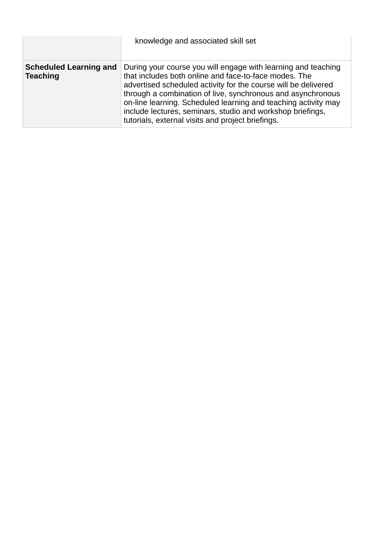|                                                  | knowledge and associated skill set                                                                                                                                                                                                                                                                                                                                                                                                           |
|--------------------------------------------------|----------------------------------------------------------------------------------------------------------------------------------------------------------------------------------------------------------------------------------------------------------------------------------------------------------------------------------------------------------------------------------------------------------------------------------------------|
| <b>Scheduled Learning and</b><br><b>Teaching</b> | During your course you will engage with learning and teaching<br>that includes both online and face-to-face modes. The<br>advertised scheduled activity for the course will be delivered<br>through a combination of live, synchronous and asynchronous<br>on-line learning. Scheduled learning and teaching activity may<br>include lectures, seminars, studio and workshop briefings,<br>tutorials, external visits and project briefings. |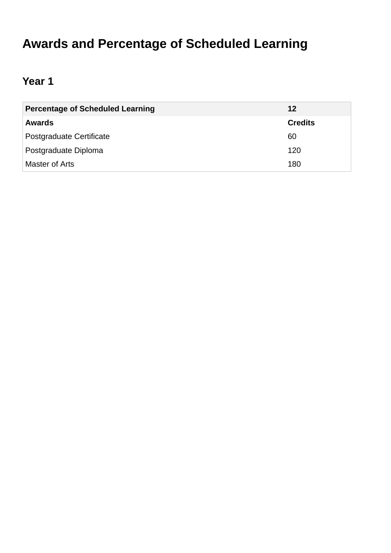# **Awards and Percentage of Scheduled Learning**

# **Year 1**

| <b>Percentage of Scheduled Learning</b> | 12             |
|-----------------------------------------|----------------|
| <b>Awards</b>                           | <b>Credits</b> |
| Postgraduate Certificate                | 60             |
| Postgraduate Diploma                    | 120            |
| Master of Arts                          | 180            |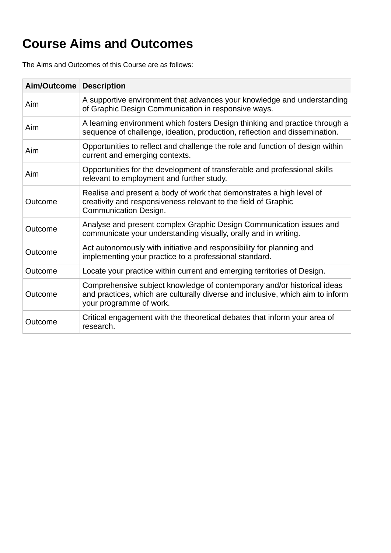# **Course Aims and Outcomes**

The Aims and Outcomes of this Course are as follows:

| Aim/Outcome | <b>Description</b>                                                                                                                                                                   |
|-------------|--------------------------------------------------------------------------------------------------------------------------------------------------------------------------------------|
| Aim         | A supportive environment that advances your knowledge and understanding<br>of Graphic Design Communication in responsive ways.                                                       |
| Aim         | A learning environment which fosters Design thinking and practice through a<br>sequence of challenge, ideation, production, reflection and dissemination.                            |
| Aim         | Opportunities to reflect and challenge the role and function of design within<br>current and emerging contexts.                                                                      |
| Aim         | Opportunities for the development of transferable and professional skills<br>relevant to employment and further study.                                                               |
| Outcome     | Realise and present a body of work that demonstrates a high level of<br>creativity and responsiveness relevant to the field of Graphic<br><b>Communication Design.</b>               |
| Outcome     | Analyse and present complex Graphic Design Communication issues and<br>communicate your understanding visually, orally and in writing.                                               |
| Outcome     | Act autonomously with initiative and responsibility for planning and<br>implementing your practice to a professional standard.                                                       |
| Outcome     | Locate your practice within current and emerging territories of Design.                                                                                                              |
| Outcome     | Comprehensive subject knowledge of contemporary and/or historical ideas<br>and practices, which are culturally diverse and inclusive, which aim to inform<br>your programme of work. |
| Outcome     | Critical engagement with the theoretical debates that inform your area of<br>research.                                                                                               |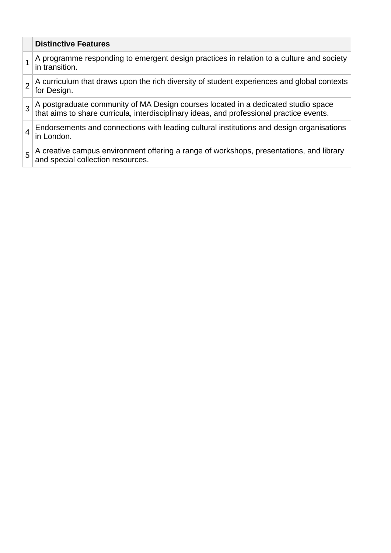|                | <b>Distinctive Features</b>                                                                                                                                                |
|----------------|----------------------------------------------------------------------------------------------------------------------------------------------------------------------------|
|                | A programme responding to emergent design practices in relation to a culture and society<br>in transition.                                                                 |
| $\overline{2}$ | A curriculum that draws upon the rich diversity of student experiences and global contexts<br>for Design.                                                                  |
| 3              | A postgraduate community of MA Design courses located in a dedicated studio space that aims to share curricula, interdisciplinary ideas, and professional practice events. |
|                | Endorsements and connections with leading cultural institutions and design organisations<br>in London.                                                                     |
| 5              | A creative campus environment offering a range of workshops, presentations, and library and special collection resources.                                                  |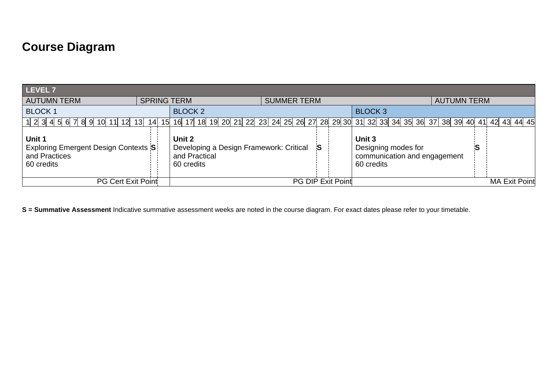# **Course Diagram**

| LEVEL 7                                                                       |                    |                                                                                           |                    |                          |                                                                             |                    |                      |
|-------------------------------------------------------------------------------|--------------------|-------------------------------------------------------------------------------------------|--------------------|--------------------------|-----------------------------------------------------------------------------|--------------------|----------------------|
| <b>AUTUMN TERM</b>                                                            | <b>SPRING TERM</b> |                                                                                           | <b>SUMMER TERM</b> |                          |                                                                             | <b>AUTUMN TERM</b> |                      |
| <b>BLOCK 1</b>                                                                |                    | <b>BLOCK 2</b><br><b>BLOCK 3</b>                                                          |                    |                          |                                                                             |                    |                      |
| 1 2 3 4 5 6 7 8 9 10 11 12 13                                                 | 14 I<br>15         | 16 17 18 19 20 21 22 23 24 25 26 27 28 29 30 31 32 33 34 35 36 37 38 39 40 41 42 43 44 45 |                    |                          |                                                                             |                    |                      |
| Unit 1<br>Exploring Emergent Design Contexts S<br>and Practices<br>60 credits |                    | Unit 2<br>Developing a Design Framework: Critical<br>and Practical<br>60 credits          |                    | <b>S</b>                 | Unit 3<br>Designing modes for<br>communication and engagement<br>60 credits |                    |                      |
| PG Cert Exit Point                                                            |                    |                                                                                           |                    | <b>PG DIP Exit Point</b> |                                                                             |                    | <b>MA Exit Point</b> |

**S = Summative Assessment** Indicative summative assessment weeks are noted in the course diagram. For exact dates please refer to your timetable.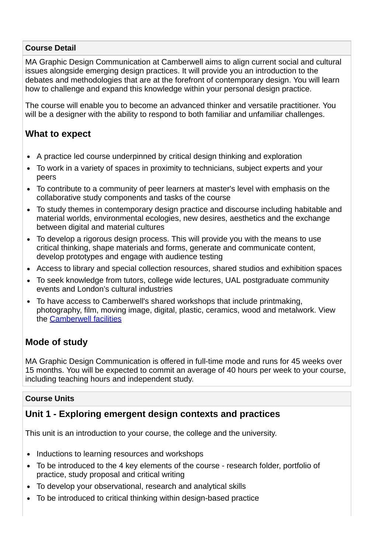#### **Course Detail**

MA Graphic Design Communication at Camberwell aims to align current social and cultural issues alongside emerging design practices. It will provide you an introduction to the debates and methodologies that are at the forefront of contemporary design. You will learn how to challenge and expand this knowledge within your personal design practice.

The course will enable you to become an advanced thinker and versatile practitioner. You will be a designer with the ability to respond to both familiar and unfamiliar challenges.

### **What to expect**

- A practice led course underpinned by critical design thinking and exploration
- To work in a variety of spaces in proximity to technicians, subject experts and your peers
- To contribute to a community of peer learners at master's level with emphasis on the collaborative study components and tasks of the course
- To study themes in contemporary design practice and discourse including habitable and material worlds, environmental ecologies, new desires, aesthetics and the exchange between digital and material cultures
- To develop a rigorous design process. This will provide you with the means to use critical thinking, shape materials and forms, generate and communicate content, develop prototypes and engage with audience testing
- Access to library and special collection resources, shared studios and exhibition spaces
- To seek knowledge from tutors, college wide lectures, UAL postgraduate community events and London's cultural industries
- To have access to Camberwell's shared workshops that include printmaking, photography, film, moving image, digital, plastic, ceramics, wood and metalwork. View the [Camberwell facilities](https://www.arts.ac.uk/colleges/camberwell-college-of-arts/student-life-at-camberwell/facilities)

## **Mode of study**

MA Graphic Design Communication is offered in full-time mode and runs for 45 weeks over 15 months. You will be expected to commit an average of 40 hours per week to your course, including teaching hours and independent study.

#### **Course Units**

## **Unit 1 - Exploring emergent design contexts and practices**

This unit is an introduction to your course, the college and the university.

- Inductions to learning resources and workshops
- To be introduced to the 4 key elements of the course research folder, portfolio of practice, study proposal and critical writing
- To develop your observational, research and analytical skills
- To be introduced to critical thinking within design-based practice $\bullet$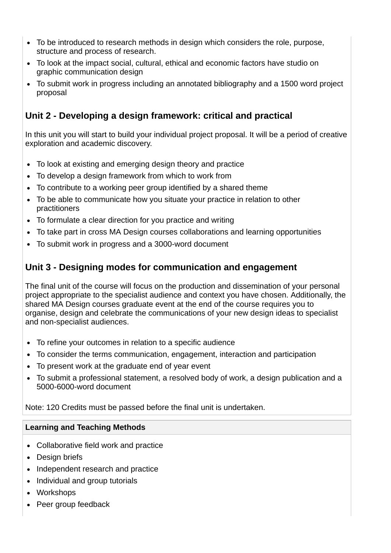- To be introduced to research methods in design which considers the role, purpose, structure and process of research.
- To look at the impact social, cultural, ethical and economic factors have studio on graphic communication design
- To submit work in progress including an annotated bibliography and a 1500 word project proposal

## **Unit 2 - Developing a design framework: critical and practical**

In this unit you will start to build your individual project proposal. It will be a period of creative exploration and academic discovery.

- To look at existing and emerging design theory and practice
- To develop a design framework from which to work from
- To contribute to a working peer group identified by a shared theme
- To be able to communicate how you situate your practice in relation to other practitioners
- To formulate a clear direction for you practice and writing
- To take part in cross MA Design courses collaborations and learning opportunities
- To submit work in progress and a 3000-word document

## **Unit 3 - Designing modes for communication and engagement**

The final unit of the course will focus on the production and dissemination of your personal project appropriate to the specialist audience and context you have chosen. Additionally, the shared MA Design courses graduate event at the end of the course requires you to organise, design and celebrate the communications of your new design ideas to specialist and non-specialist audiences.

- To refine your outcomes in relation to a specific audience
- To consider the terms communication, engagement, interaction and participation
- To present work at the graduate end of year event
- To submit a professional statement, a resolved body of work, a design publication and a 5000-6000-word document

#### Note: 120 Credits must be passed before the final unit is undertaken.

#### **Learning and Teaching Methods**

- Collaborative field work and practice
- Design briefs
- Independent research and practice
- Individual and group tutorials
- Workshops
- Peer group feedback